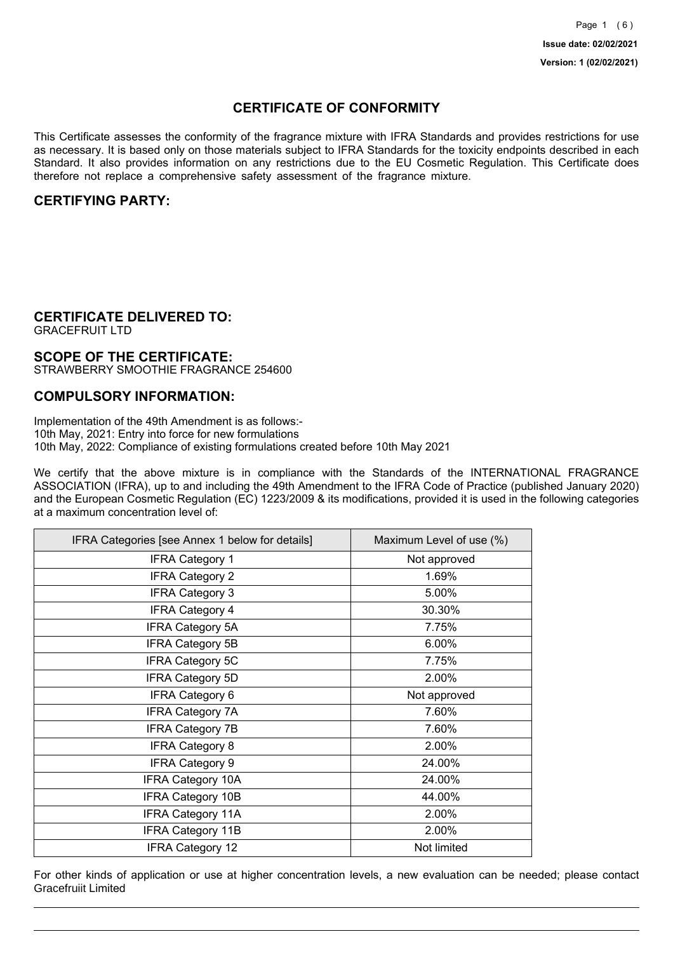## **CERTIFICATE OF CONFORMITY**

This Certificate assesses the conformity of the fragrance mixture with IFRA Standards and provides restrictions for use as necessary. It is based only on those materials subject to IFRA Standards for the toxicity endpoints described in each Standard. It also provides information on any restrictions due to the EU Cosmetic Regulation. This Certificate does therefore not replace a comprehensive safety assessment of the fragrance mixture.

## **CERTIFYING PARTY:**

## **CERTIFICATE DELIVERED TO:**

GRACEFRUIT LTD

### **SCOPE OF THE CERTIFICATE:**

STRAWBERRY SMOOTHIE FRAGRANCE 254600

### **COMPULSORY INFORMATION:**

Implementation of the 49th Amendment is as follows:- 10th May, 2021: Entry into force for new formulations 10th May, 2022: Compliance of existing formulations created before 10th May 2021

We certify that the above mixture is in compliance with the Standards of the INTERNATIONAL FRAGRANCE ASSOCIATION (IFRA), up to and including the 49th Amendment to the IFRA Code of Practice (published January 2020) and the European Cosmetic Regulation (EC) 1223/2009 & its modifications, provided it is used in the following categories at a maximum concentration level of:

| IFRA Categories [see Annex 1 below for details] | Maximum Level of use (%) |
|-------------------------------------------------|--------------------------|
| <b>IFRA Category 1</b>                          | Not approved             |
| <b>IFRA Category 2</b>                          | 1.69%                    |
| <b>IFRA Category 3</b>                          | 5.00%                    |
| <b>IFRA Category 4</b>                          | 30.30%                   |
| <b>IFRA Category 5A</b>                         | 7.75%                    |
| <b>IFRA Category 5B</b>                         | 6.00%                    |
| <b>IFRA Category 5C</b>                         | 7.75%                    |
| <b>IFRA Category 5D</b>                         | 2.00%                    |
| IFRA Category 6                                 | Not approved             |
| <b>IFRA Category 7A</b>                         | 7.60%                    |
| <b>IFRA Category 7B</b>                         | 7.60%                    |
| <b>IFRA Category 8</b>                          | 2.00%                    |
| <b>IFRA Category 9</b>                          | 24.00%                   |
| <b>IFRA Category 10A</b>                        | 24.00%                   |
| <b>IFRA Category 10B</b>                        | 44.00%                   |
| <b>IFRA Category 11A</b>                        | 2.00%                    |
| <b>IFRA Category 11B</b>                        | 2.00%                    |
| <b>IFRA Category 12</b>                         | Not limited              |

For other kinds of application or use at higher concentration levels, a new evaluation can be needed; please contact Gracefruiit Limited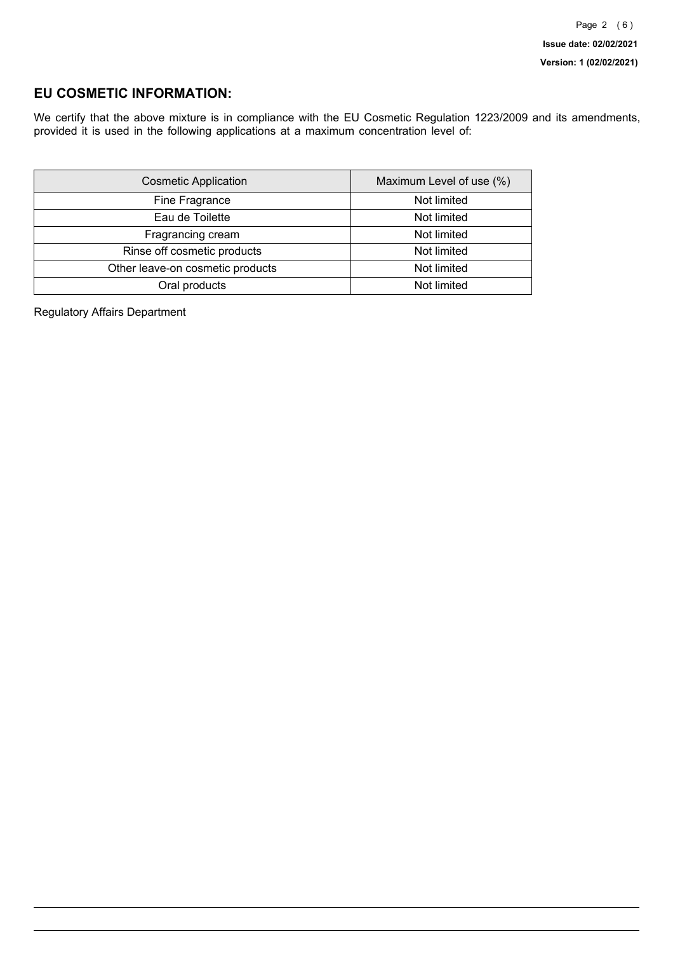## **EU COSMETIC INFORMATION:**

We certify that the above mixture is in compliance with the EU Cosmetic Regulation 1223/2009 and its amendments, provided it is used in the following applications at a maximum concentration level of:

| <b>Cosmetic Application</b>      | Maximum Level of use (%) |
|----------------------------------|--------------------------|
| Fine Fragrance                   | Not limited              |
| Eau de Toilette                  | Not limited              |
| Fragrancing cream                | Not limited              |
| Rinse off cosmetic products      | Not limited              |
| Other leave-on cosmetic products | Not limited              |
| Oral products                    | Not limited              |

Regulatory Affairs Department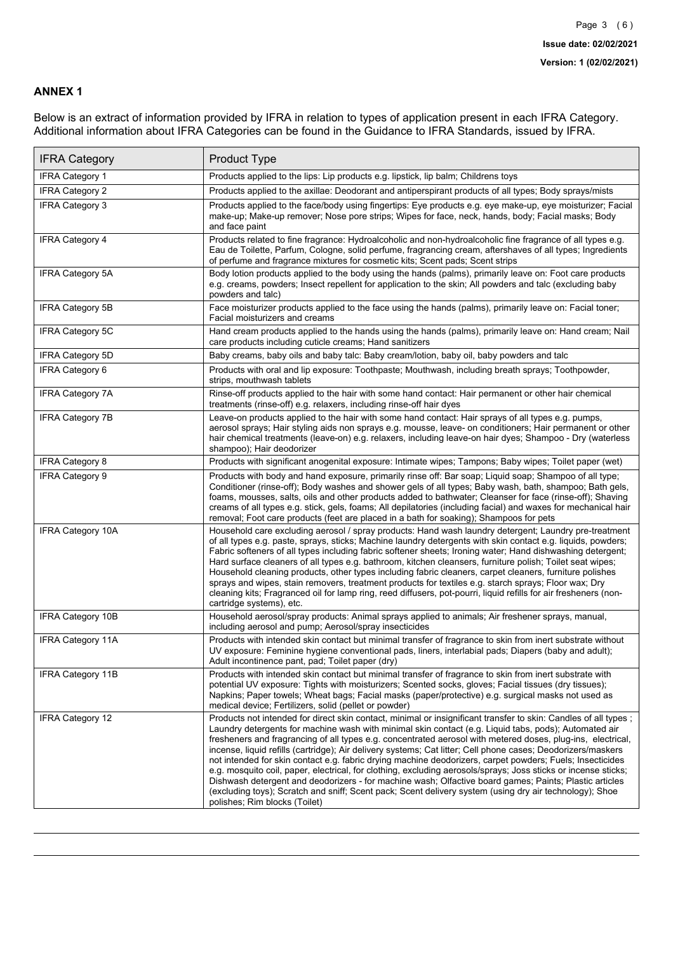### **ANNEX 1**

Below is an extract of information provided by IFRA in relation to types of application present in each IFRA Category. Additional information about IFRA Categories can be found in the Guidance to IFRA Standards, issued by IFRA.

| <b>IFRA Category</b>     | Product Type                                                                                                                                                                                                                                                                                                                                                                                                                                                                                                                                                                                                                                                                                                                                                                                                                                                                                                                                 |
|--------------------------|----------------------------------------------------------------------------------------------------------------------------------------------------------------------------------------------------------------------------------------------------------------------------------------------------------------------------------------------------------------------------------------------------------------------------------------------------------------------------------------------------------------------------------------------------------------------------------------------------------------------------------------------------------------------------------------------------------------------------------------------------------------------------------------------------------------------------------------------------------------------------------------------------------------------------------------------|
| <b>IFRA Category 1</b>   | Products applied to the lips: Lip products e.g. lipstick, lip balm; Childrens toys                                                                                                                                                                                                                                                                                                                                                                                                                                                                                                                                                                                                                                                                                                                                                                                                                                                           |
| <b>IFRA Category 2</b>   | Products applied to the axillae: Deodorant and antiperspirant products of all types; Body sprays/mists                                                                                                                                                                                                                                                                                                                                                                                                                                                                                                                                                                                                                                                                                                                                                                                                                                       |
| <b>IFRA Category 3</b>   | Products applied to the face/body using fingertips: Eye products e.g. eye make-up, eye moisturizer; Facial<br>make-up; Make-up remover; Nose pore strips; Wipes for face, neck, hands, body; Facial masks; Body<br>and face paint                                                                                                                                                                                                                                                                                                                                                                                                                                                                                                                                                                                                                                                                                                            |
| <b>IFRA Category 4</b>   | Products related to fine fragrance: Hydroalcoholic and non-hydroalcoholic fine fragrance of all types e.g.<br>Eau de Toilette, Parfum, Cologne, solid perfume, fragrancing cream, aftershaves of all types; Ingredients<br>of perfume and fragrance mixtures for cosmetic kits; Scent pads; Scent strips                                                                                                                                                                                                                                                                                                                                                                                                                                                                                                                                                                                                                                     |
| <b>IFRA Category 5A</b>  | Body lotion products applied to the body using the hands (palms), primarily leave on: Foot care products<br>e.g. creams, powders; Insect repellent for application to the skin; All powders and talc (excluding baby<br>powders and talc)                                                                                                                                                                                                                                                                                                                                                                                                                                                                                                                                                                                                                                                                                                    |
| IFRA Category 5B         | Face moisturizer products applied to the face using the hands (palms), primarily leave on: Facial toner;<br>Facial moisturizers and creams                                                                                                                                                                                                                                                                                                                                                                                                                                                                                                                                                                                                                                                                                                                                                                                                   |
| <b>IFRA Category 5C</b>  | Hand cream products applied to the hands using the hands (palms), primarily leave on: Hand cream; Nail<br>care products including cuticle creams; Hand sanitizers                                                                                                                                                                                                                                                                                                                                                                                                                                                                                                                                                                                                                                                                                                                                                                            |
| <b>IFRA Category 5D</b>  | Baby creams, baby oils and baby talc: Baby cream/lotion, baby oil, baby powders and talc                                                                                                                                                                                                                                                                                                                                                                                                                                                                                                                                                                                                                                                                                                                                                                                                                                                     |
| IFRA Category 6          | Products with oral and lip exposure: Toothpaste; Mouthwash, including breath sprays; Toothpowder,<br>strips, mouthwash tablets                                                                                                                                                                                                                                                                                                                                                                                                                                                                                                                                                                                                                                                                                                                                                                                                               |
| <b>IFRA Category 7A</b>  | Rinse-off products applied to the hair with some hand contact: Hair permanent or other hair chemical<br>treatments (rinse-off) e.g. relaxers, including rinse-off hair dyes                                                                                                                                                                                                                                                                                                                                                                                                                                                                                                                                                                                                                                                                                                                                                                  |
| <b>IFRA Category 7B</b>  | Leave-on products applied to the hair with some hand contact: Hair sprays of all types e.g. pumps,<br>aerosol sprays; Hair styling aids non sprays e.g. mousse, leave- on conditioners; Hair permanent or other<br>hair chemical treatments (leave-on) e.g. relaxers, including leave-on hair dyes; Shampoo - Dry (waterless<br>shampoo); Hair deodorizer                                                                                                                                                                                                                                                                                                                                                                                                                                                                                                                                                                                    |
| <b>IFRA Category 8</b>   | Products with significant anogenital exposure: Intimate wipes; Tampons; Baby wipes; Toilet paper (wet)                                                                                                                                                                                                                                                                                                                                                                                                                                                                                                                                                                                                                                                                                                                                                                                                                                       |
| IFRA Category 9          | Products with body and hand exposure, primarily rinse off: Bar soap; Liquid soap; Shampoo of all type;<br>Conditioner (rinse-off); Body washes and shower gels of all types; Baby wash, bath, shampoo; Bath gels,<br>foams, mousses, salts, oils and other products added to bathwater; Cleanser for face (rinse-off); Shaving<br>creams of all types e.g. stick, gels, foams; All depilatories (including facial) and waxes for mechanical hair<br>removal; Foot care products (feet are placed in a bath for soaking); Shampoos for pets                                                                                                                                                                                                                                                                                                                                                                                                   |
| <b>IFRA Category 10A</b> | Household care excluding aerosol / spray products: Hand wash laundry detergent; Laundry pre-treatment<br>of all types e.g. paste, sprays, sticks; Machine laundry detergents with skin contact e.g. liquids, powders;<br>Fabric softeners of all types including fabric softener sheets; Ironing water; Hand dishwashing detergent;<br>Hard surface cleaners of all types e.g. bathroom, kitchen cleansers, furniture polish; Toilet seat wipes;<br>Household cleaning products, other types including fabric cleaners, carpet cleaners, furniture polishes<br>sprays and wipes, stain removers, treatment products for textiles e.g. starch sprays; Floor wax; Dry<br>cleaning kits; Fragranced oil for lamp ring, reed diffusers, pot-pourri, liquid refills for air fresheners (non-<br>cartridge systems), etc.                                                                                                                          |
| <b>IFRA Category 10B</b> | Household aerosol/spray products: Animal sprays applied to animals; Air freshener sprays, manual,<br>including aerosol and pump; Aerosol/spray insecticides                                                                                                                                                                                                                                                                                                                                                                                                                                                                                                                                                                                                                                                                                                                                                                                  |
| <b>IFRA Category 11A</b> | Products with intended skin contact but minimal transfer of fragrance to skin from inert substrate without<br>UV exposure: Feminine hygiene conventional pads, liners, interlabial pads; Diapers (baby and adult);<br>Adult incontinence pant, pad; Toilet paper (dry)                                                                                                                                                                                                                                                                                                                                                                                                                                                                                                                                                                                                                                                                       |
| <b>IFRA Category 11B</b> | Products with intended skin contact but minimal transfer of fragrance to skin from inert substrate with<br>potential UV exposure: Tights with moisturizers; Scented socks, gloves; Facial tissues (dry tissues);<br>Napkins; Paper towels; Wheat bags; Facial masks (paper/protective) e.g. surgical masks not used as<br>medical device; Fertilizers, solid (pellet or powder)                                                                                                                                                                                                                                                                                                                                                                                                                                                                                                                                                              |
| <b>IFRA Category 12</b>  | Products not intended for direct skin contact, minimal or insignificant transfer to skin: Candles of all types;<br>Laundry detergents for machine wash with minimal skin contact (e.g. Liquid tabs, pods); Automated air<br>fresheners and fragrancing of all types e.g. concentrated aerosol with metered doses, plug-ins, electrical,<br>incense, liquid refills (cartridge); Air delivery systems; Cat litter; Cell phone cases; Deodorizers/maskers<br>not intended for skin contact e.g. fabric drying machine deodorizers, carpet powders; Fuels; Insecticides<br>e.g. mosquito coil, paper, electrical, for clothing, excluding aerosols/sprays; Joss sticks or incense sticks;<br>Dishwash detergent and deodorizers - for machine wash; Olfactive board games; Paints; Plastic articles<br>(excluding toys); Scratch and sniff; Scent pack; Scent delivery system (using dry air technology); Shoe<br>polishes; Rim blocks (Toilet) |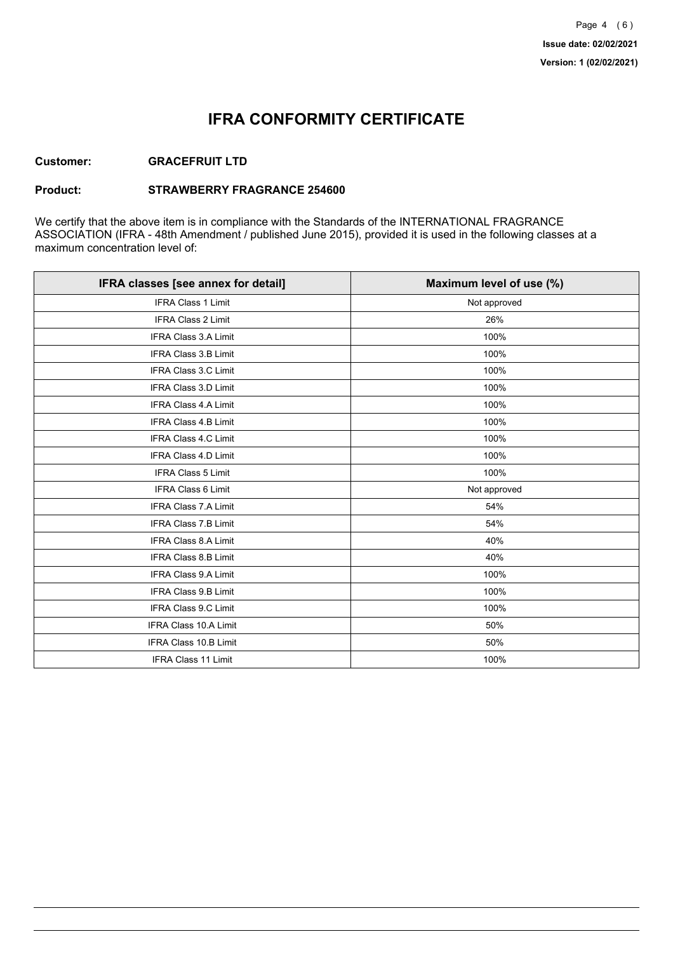## **IFRA CONFORMITY CERTIFICATE**

### **Customer: GRACEFRUIT LTD**

#### **Product: STRAWBERRY FRAGRANCE 254600**

We certify that the above item is in compliance with the Standards of the INTERNATIONAL FRAGRANCE ASSOCIATION (IFRA - 48th Amendment / published June 2015), provided it is used in the following classes at a maximum concentration level of:

| IFRA classes [see annex for detail] | Maximum level of use (%) |
|-------------------------------------|--------------------------|
| <b>IFRA Class 1 Limit</b>           | Not approved             |
| IFRA Class 2 Limit                  | 26%                      |
| <b>IFRA Class 3.A Limit</b>         | 100%                     |
| IFRA Class 3.B Limit                | 100%                     |
| <b>IFRA Class 3.C Limit</b>         | 100%                     |
| IFRA Class 3.D Limit                | 100%                     |
| IFRA Class 4.A Limit                | 100%                     |
| <b>IFRA Class 4.B Limit</b>         | 100%                     |
| <b>IFRA Class 4.C Limit</b>         | 100%                     |
| <b>IFRA Class 4.D Limit</b>         | 100%                     |
| <b>IFRA Class 5 Limit</b>           | 100%                     |
| IFRA Class 6 Limit                  | Not approved             |
| <b>IFRA Class 7.A Limit</b>         | 54%                      |
| <b>IFRA Class 7.B Limit</b>         | 54%                      |
| <b>IFRA Class 8.A Limit</b>         | 40%                      |
| IFRA Class 8.B Limit                | 40%                      |
| IFRA Class 9.A Limit                | 100%                     |
| <b>IFRA Class 9.B Limit</b>         | 100%                     |
| IFRA Class 9.C Limit                | 100%                     |
| IFRA Class 10.A Limit               | 50%                      |
| IFRA Class 10.B Limit               | 50%                      |
| <b>IFRA Class 11 Limit</b>          | 100%                     |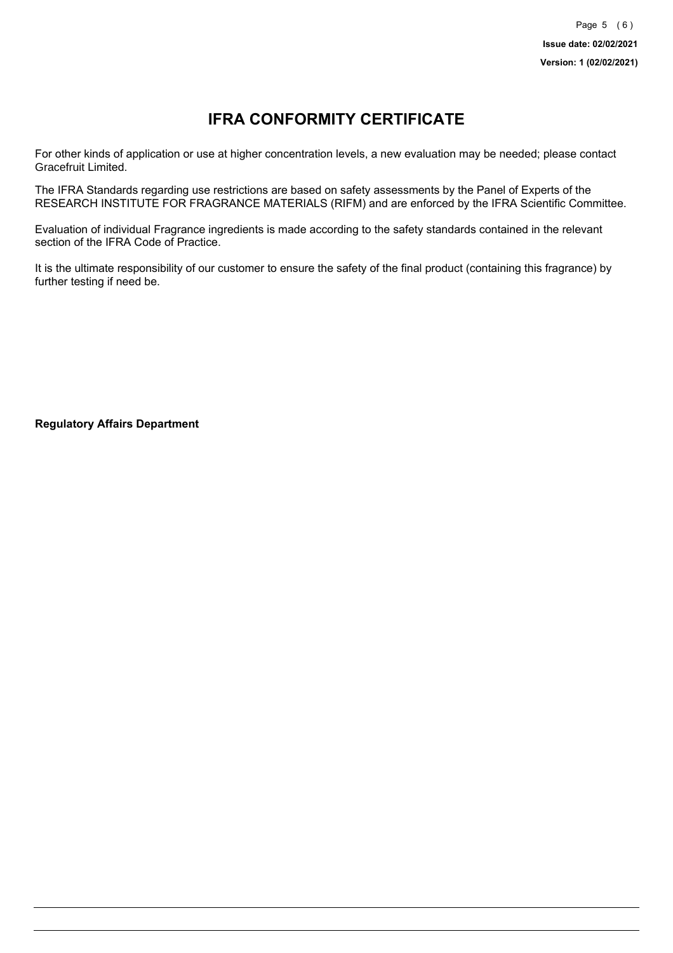# **IFRA CONFORMITY CERTIFICATE**

For other kinds of application or use at higher concentration levels, a new evaluation may be needed; please contact Gracefruit Limited.

The IFRA Standards regarding use restrictions are based on safety assessments by the Panel of Experts of the RESEARCH INSTITUTE FOR FRAGRANCE MATERIALS (RIFM) and are enforced by the IFRA Scientific Committee.

Evaluation of individual Fragrance ingredients is made according to the safety standards contained in the relevant section of the IFRA Code of Practice.

It is the ultimate responsibility of our customer to ensure the safety of the final product (containing this fragrance) by further testing if need be.

**Regulatory Affairs Department**